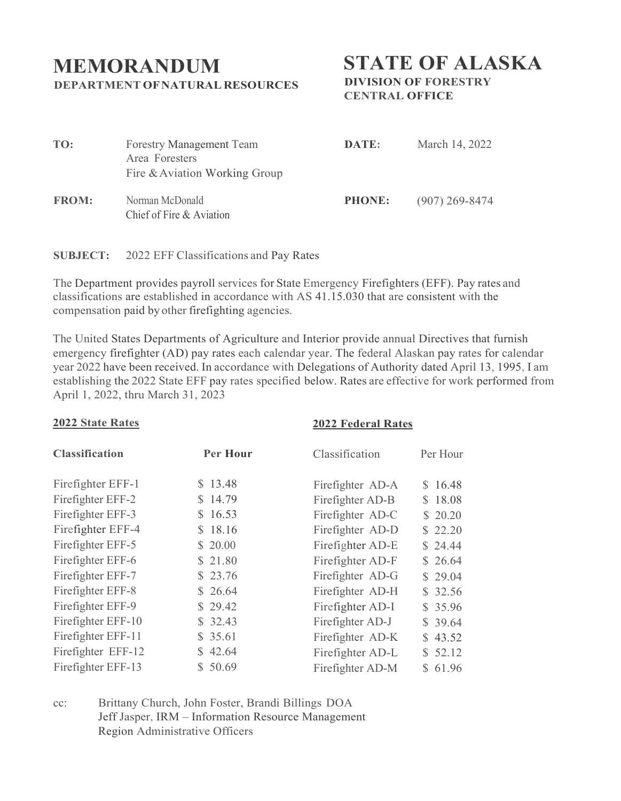## **MEMORANDUM DEPARTMENT OFNATURAL RESOURCES**

**STATE OF ALASKA**

**DIVISION OF FORESTRY CENTRAL OFFICE**

| TO:          | <b>Forestry Management Team</b><br>Area Foresters<br>Fire & Aviation Working Group | DATE:         | March 14, 2022   |
|--------------|------------------------------------------------------------------------------------|---------------|------------------|
| <b>FROM:</b> | Norman McDonald<br>Chief of Fire & Aviation                                        | <b>PHONE:</b> | $(907)$ 269-8474 |

**SUBJECT:** 2022 EFF Classifications and Pay Rates

The Department provides payroll services for State Emergency Firefighters (EFF). Pay rates and classifications are established in accordance with AS 41.15.030 that are consistent with the compensation paid by other firefighting agencies.

The United States Departments of Agriculture and Interior provide annual Directives that furnish emergency firefighter (AD) pay rates each calendar year. The federal Alaskan pay rates for calendar year 2022 have been received. In accordance with Delegations of Authority dated April 13, 1995, I am establishing the 2022 State EFF pay rates specified below. Rates are effective for work performed from April 1, 2022, thru March 31, 2023

## **2022 State Rates**

## **2022 Federal Rates**

| <b>Per Hour</b> | Classification   | Per Hour |
|-----------------|------------------|----------|
| \$13.48         | Firefighter AD-A | \$16.48  |
| \$14.79         | Firefighter AD-B | \$18.08  |
| \$16.53         | Firefighter AD-C | \$20.20  |
| \$18.16         | Firefighter AD-D | \$22.20  |
| \$20.00         | Firefighter AD-E | \$24.44  |
| \$21.80         | Firefighter AD-F | \$26.64  |
| \$23.76         | Firefighter AD-G | \$29.04  |
| \$26.64         | Firefighter AD-H | \$32.56  |
| \$29.42         | Firefighter AD-I | \$35.96  |
| \$32.43         | Firefighter AD-J | \$39.64  |
| \$35.61         | Firefighter AD-K | \$43.52  |
| \$42.64         | Firefighter AD-L | \$52.12  |
| \$50.69         | Firefighter AD-M | \$61.96  |
|                 |                  |          |

cc: Brittany Church, John Foster, Brandi Billings DOA Jeff Jasper, IRM – Information Resource Management Region Administrative Officers